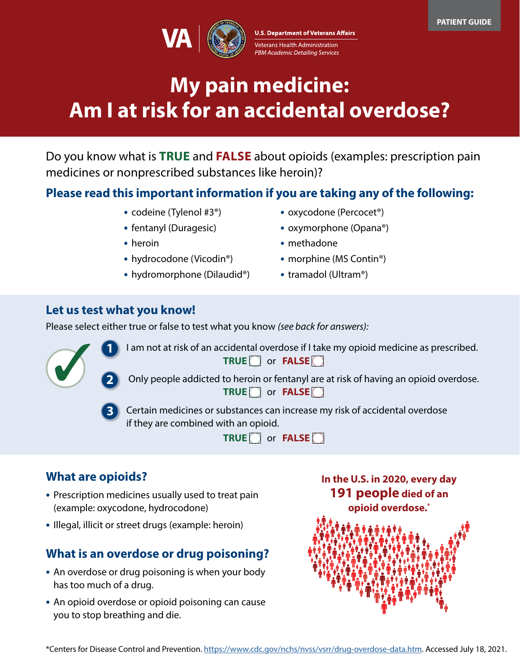

# **My pain medicine: Am I at risk for an accidental overdose?**

Do you know what is **TRUE** and **FALSE** about opioids (examples: prescription pain medicines or nonprescribed substances like heroin)?

## **Please read this important information if you are taking any of the following:**

- **•** codeine (Tylenol #3®)
- **•** fentanyl (Duragesic)
- **•** heroin
- **•** hydrocodone (Vicodin®)
- **•** hydromorphone (Dilaudid®)
- **•** oxycodone (Percocet®)
- **•** oxymorphone (Opana®)
- **•** methadone
- **•** morphine (MS Contin®)
- **•** tramadol (Ultram®)

### **Let us test what you know!**

Please select either true or false to test what you know *(see back for answers):* 



**1** I am not at risk of an accidental overdose if I take my opioid medicine as prescribed. **TRUE** or **FALSE** 

**2** Only people addicted to heroin or fentanyl are at risk of having an opioid overdose. **TRUE** or **FALSE** 

**3** Certain medicines or substances can increase my risk of accidental overdose if they are combined with an opioid.

**TRUE** or **FALSE** 

## **What are opioids?**

- **•** Prescription medicines usually used to treat pain (example: oxycodone, hydrocodone)
- **•** Illegal, illicit or street drugs (example: heroin)

## **What is an overdose or drug poisoning?**

- **•** An overdose or drug poisoning is when your body has too much of a drug.
- **•** An opioid overdose or opioid poisoning can cause you to stop breathing and die.

**In the U.S. in 2020, every day 191 people died of an opioid overdose.\***